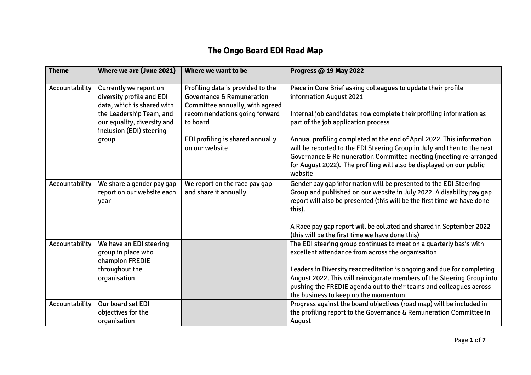## **The Ongo Board EDI Road Map**

| <b>Theme</b>   | Where we are (June 2021)                                                            | Where we want to be                                                                                          | <b>Progress @ 19 May 2022</b>                                                                                                                                                                                                                                                                           |
|----------------|-------------------------------------------------------------------------------------|--------------------------------------------------------------------------------------------------------------|---------------------------------------------------------------------------------------------------------------------------------------------------------------------------------------------------------------------------------------------------------------------------------------------------------|
| Accountability | Currently we report on<br>diversity profile and EDI<br>data, which is shared with   | Profiling data is provided to the<br><b>Governance &amp; Remuneration</b><br>Committee annually, with agreed | Piece in Core Brief asking colleagues to update their profile<br>information August 2021                                                                                                                                                                                                                |
|                | the Leadership Team, and<br>our equality, diversity and<br>inclusion (EDI) steering | recommendations going forward<br>to board                                                                    | Internal job candidates now complete their profiling information as<br>part of the job application process                                                                                                                                                                                              |
|                | group                                                                               | EDI profiling is shared annually<br>on our website                                                           | Annual profiling completed at the end of April 2022. This information<br>will be reported to the EDI Steering Group in July and then to the next<br>Governance & Remuneration Committee meeting (meeting re-arranged<br>for August 2022). The profiling will also be displayed on our public<br>website |
| Accountability | We share a gender pay gap<br>report on our website each<br>year                     | We report on the race pay gap<br>and share it annually                                                       | Gender pay gap information will be presented to the EDI Steering<br>Group and published on our website in July 2022. A disability pay gap<br>report will also be presented (this will be the first time we have done<br>this).                                                                          |
|                |                                                                                     |                                                                                                              | A Race pay gap report will be collated and shared in September 2022<br>(this will be the first time we have done this)                                                                                                                                                                                  |
| Accountability | We have an EDI steering<br>group in place who<br>champion FREDIE                    |                                                                                                              | The EDI steering group continues to meet on a quarterly basis with<br>excellent attendance from across the organisation                                                                                                                                                                                 |
|                | throughout the                                                                      |                                                                                                              | Leaders in Diversity reaccreditation is ongoing and due for completing                                                                                                                                                                                                                                  |
|                | organisation                                                                        |                                                                                                              | August 2022. This will reinvigorate members of the Steering Group into                                                                                                                                                                                                                                  |
|                |                                                                                     |                                                                                                              | pushing the FREDIE agenda out to their teams and colleagues across<br>the business to keep up the momentum                                                                                                                                                                                              |
| Accountability | Our board set EDI                                                                   |                                                                                                              | Progress against the board objectives (road map) will be included in                                                                                                                                                                                                                                    |
|                | objectives for the                                                                  |                                                                                                              | the profiling report to the Governance & Remuneration Committee in                                                                                                                                                                                                                                      |
|                | organisation                                                                        |                                                                                                              | August                                                                                                                                                                                                                                                                                                  |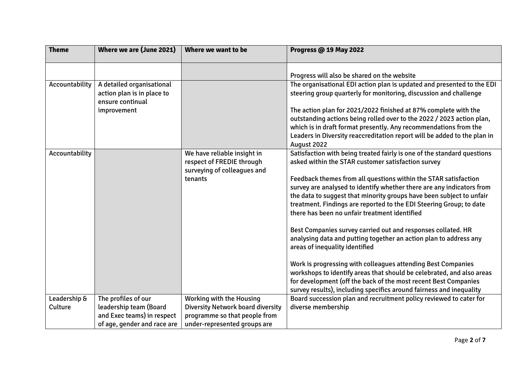| <b>Theme</b>            | Where we are (June 2021)                                                                                   | Where we want to be                                                                                                                          | <b>Progress @ 19 May 2022</b>                                                                                                                                                                                                                                                                           |
|-------------------------|------------------------------------------------------------------------------------------------------------|----------------------------------------------------------------------------------------------------------------------------------------------|---------------------------------------------------------------------------------------------------------------------------------------------------------------------------------------------------------------------------------------------------------------------------------------------------------|
| Accountability          | A detailed organisational<br>action plan is in place to<br>ensure continual                                |                                                                                                                                              | Progress will also be shared on the website<br>The organisational EDI action plan is updated and presented to the EDI<br>steering group quarterly for monitoring, discussion and challenge                                                                                                              |
|                         | improvement                                                                                                |                                                                                                                                              | The action plan for 2021/2022 finished at 87% complete with the<br>outstanding actions being rolled over to the 2022 / 2023 action plan,<br>which is in draft format presently. Any recommendations from the<br>Leaders in Diversity reaccreditation report will be added to the plan in<br>August 2022 |
| Accountability          |                                                                                                            | We have reliable insight in<br>respect of FREDIE through<br>surveying of colleagues and<br>tenants                                           | Satisfaction with being treated fairly is one of the standard questions<br>asked within the STAR customer satisfaction survey<br>Feedback themes from all questions within the STAR satisfaction<br>survey are analysed to identify whether there are any indicators from                               |
|                         |                                                                                                            |                                                                                                                                              | the data to suggest that minority groups have been subject to unfair<br>treatment. Findings are reported to the EDI Steering Group; to date<br>there has been no unfair treatment identified                                                                                                            |
|                         |                                                                                                            |                                                                                                                                              | Best Companies survey carried out and responses collated. HR<br>analysing data and putting together an action plan to address any<br>areas of inequality identified                                                                                                                                     |
|                         |                                                                                                            |                                                                                                                                              | Work is progressing with colleagues attending Best Companies<br>workshops to identify areas that should be celebrated, and also areas<br>for development (off the back of the most recent Best Companies<br>survey results), including specifics around fairness and inequality                         |
| Leadership &<br>Culture | The profiles of our<br>leadership team (Board<br>and Exec teams) in respect<br>of age, gender and race are | <b>Working with the Housing</b><br><b>Diversity Network board diversity</b><br>programme so that people from<br>under-represented groups are | Board succession plan and recruitment policy reviewed to cater for<br>diverse membership                                                                                                                                                                                                                |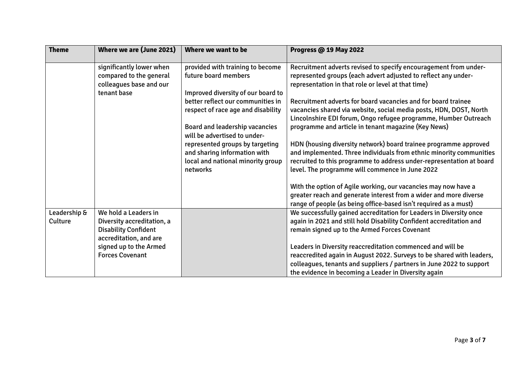| <b>Theme</b>            | Where we are (June 2021)                                                       | Where we want to be                                                                                              | Progress @ 19 May 2022                                                                                                                                                                                                                                             |
|-------------------------|--------------------------------------------------------------------------------|------------------------------------------------------------------------------------------------------------------|--------------------------------------------------------------------------------------------------------------------------------------------------------------------------------------------------------------------------------------------------------------------|
|                         | significantly lower when<br>compared to the general<br>colleagues base and our | provided with training to become<br>future board members                                                         | Recruitment adverts revised to specify encouragement from under-<br>represented groups (each advert adjusted to reflect any under-<br>representation in that role or level at that time)                                                                           |
|                         | tenant base                                                                    | Improved diversity of our board to<br>better reflect our communities in                                          | Recruitment adverts for board vacancies and for board trainee                                                                                                                                                                                                      |
|                         |                                                                                | respect of race age and disability                                                                               | vacancies shared via website, social media posts, HDN, DOST, North                                                                                                                                                                                                 |
|                         |                                                                                | <b>Board and leadership vacancies</b><br>will be advertised to under-                                            | Lincolnshire EDI forum, Ongo refugee programme, Humber Outreach<br>programme and article in tenant magazine (Key News)                                                                                                                                             |
|                         |                                                                                | represented groups by targeting<br>and sharing information with<br>local and national minority group<br>networks | HDN (housing diversity network) board trainee programme approved<br>and implemented. Three individuals from ethnic minority communities<br>recruited to this programme to address under-representation at board<br>level. The programme will commence in June 2022 |
|                         |                                                                                |                                                                                                                  |                                                                                                                                                                                                                                                                    |
|                         |                                                                                |                                                                                                                  | With the option of Agile working, our vacancies may now have a<br>greater reach and generate interest from a wider and more diverse<br>range of people (as being office-based isn't required as a must)                                                            |
| Leadership &<br>Culture | We hold a Leaders in<br>Diversity accreditation, a                             |                                                                                                                  | We successfully gained accreditation for Leaders in Diversity once<br>again in 2021 and still hold Disability Confident accreditation and                                                                                                                          |
|                         | <b>Disability Confident</b><br>accreditation, and are                          |                                                                                                                  | remain signed up to the Armed Forces Covenant                                                                                                                                                                                                                      |
|                         | signed up to the Armed<br><b>Forces Covenant</b>                               |                                                                                                                  | Leaders in Diversity reaccreditation commenced and will be<br>reaccredited again in August 2022. Surveys to be shared with leaders,                                                                                                                                |
|                         |                                                                                |                                                                                                                  | colleagues, tenants and suppliers / partners in June 2022 to support<br>the evidence in becoming a Leader in Diversity again                                                                                                                                       |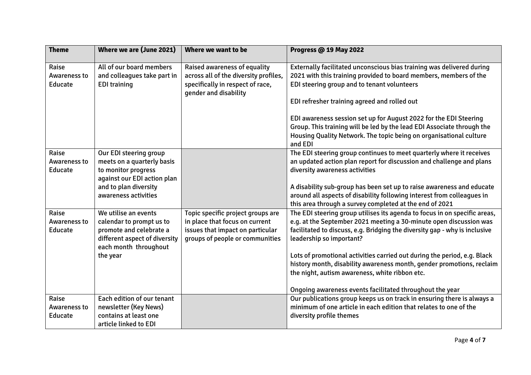| <b>Theme</b>                            | Where we are (June 2021)                                                                                                                                    | Where we want to be                                                                                                                        | <b>Progress @ 19 May 2022</b>                                                                                                                                                                                                                                                                                                                                                                                                                                                                                                |
|-----------------------------------------|-------------------------------------------------------------------------------------------------------------------------------------------------------------|--------------------------------------------------------------------------------------------------------------------------------------------|------------------------------------------------------------------------------------------------------------------------------------------------------------------------------------------------------------------------------------------------------------------------------------------------------------------------------------------------------------------------------------------------------------------------------------------------------------------------------------------------------------------------------|
| Raise<br><b>Awareness to</b><br>Educate | All of our board members<br>and colleagues take part in<br><b>EDI training</b>                                                                              | Raised awareness of equality<br>across all of the diversity profiles,<br>specifically in respect of race,<br>gender and disability         | Externally facilitated unconscious bias training was delivered during<br>2021 with this training provided to board members, members of the<br>EDI steering group and to tenant volunteers<br>EDI refresher training agreed and rolled out<br>EDI awareness session set up for August 2022 for the EDI Steering<br>Group. This training will be led by the lead EDI Associate through the<br>Housing Quality Network. The topic being on organisational culture<br>and EDI                                                    |
| Raise<br><b>Awareness to</b><br>Educate | Our EDI steering group<br>meets on a quarterly basis<br>to monitor progress<br>against our EDI action plan<br>and to plan diversity<br>awareness activities |                                                                                                                                            | The EDI steering group continues to meet quarterly where it receives<br>an updated action plan report for discussion and challenge and plans<br>diversity awareness activities<br>A disability sub-group has been set up to raise awareness and educate<br>around all aspects of disability following interest from colleagues in<br>this area through a survey completed at the end of 2021                                                                                                                                 |
| Raise<br><b>Awareness to</b><br>Educate | We utilise an events<br>calendar to prompt us to<br>promote and celebrate a<br>different aspect of diversity<br>each month throughout<br>the year           | Topic specific project groups are<br>in place that focus on current<br>issues that impact on particular<br>groups of people or communities | The EDI steering group utilises its agenda to focus in on specific areas,<br>e.g. at the September 2021 meeting a 30-minute open discussion was<br>facilitated to discuss, e.g. Bridging the diversity gap - why is inclusive<br>leadership so important?<br>Lots of promotional activities carried out during the period, e.g. Black<br>history month, disability awareness month, gender promotions, reclaim<br>the night, autism awareness, white ribbon etc.<br>Ongoing awareness events facilitated throughout the year |
| Raise<br><b>Awareness to</b><br>Educate | Each edition of our tenant<br>newsletter (Key News)<br>contains at least one<br>article linked to EDI                                                       |                                                                                                                                            | Our publications group keeps us on track in ensuring there is always a<br>minimum of one article in each edition that relates to one of the<br>diversity profile themes                                                                                                                                                                                                                                                                                                                                                      |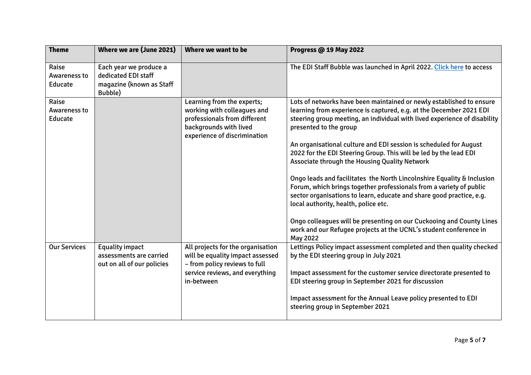| <b>Theme</b>                            | Where we are (June 2021)                                                             | Where we want to be                                                                                                                                     | <b>Progress @ 19 May 2022</b>                                                                                                                                                                                                                                                                                                                                                                                                                                                                                                                                                                                                                                                                                                                                                                                                                               |
|-----------------------------------------|--------------------------------------------------------------------------------------|---------------------------------------------------------------------------------------------------------------------------------------------------------|-------------------------------------------------------------------------------------------------------------------------------------------------------------------------------------------------------------------------------------------------------------------------------------------------------------------------------------------------------------------------------------------------------------------------------------------------------------------------------------------------------------------------------------------------------------------------------------------------------------------------------------------------------------------------------------------------------------------------------------------------------------------------------------------------------------------------------------------------------------|
| Raise<br><b>Awareness to</b><br>Educate | Each year we produce a<br>dedicated EDI staff<br>magazine (known as Staff<br>Bubble) |                                                                                                                                                         | The EDI Staff Bubble was launched in April 2022. Click here to access                                                                                                                                                                                                                                                                                                                                                                                                                                                                                                                                                                                                                                                                                                                                                                                       |
| Raise<br><b>Awareness to</b><br>Educate |                                                                                      | Learning from the experts;<br>working with colleagues and<br>professionals from different<br>backgrounds with lived<br>experience of discrimination     | Lots of networks have been maintained or newly established to ensure<br>learning from experience is captured, e.g. at the December 2021 EDI<br>steering group meeting, an individual with lived experience of disability<br>presented to the group<br>An organisational culture and EDI session is scheduled for August<br>2022 for the EDI Steering Group. This will be led by the lead EDI<br>Associate through the Housing Quality Network<br>Ongo leads and facilitates the North Lincolnshire Equality & Inclusion<br>Forum, which brings together professionals from a variety of public<br>sector organisations to learn, educate and share good practice, e.g.<br>local authority, health, police etc.<br>Ongo colleagues will be presenting on our Cuckooing and County Lines<br>work and our Refugee projects at the UCNL's student conference in |
| <b>Our Services</b>                     | <b>Equality impact</b><br>assessments are carried<br>out on all of our policies      | All projects for the organisation<br>will be equality impact assessed<br>- from policy reviews to full<br>service reviews, and everything<br>in-between | May 2022<br>Lettings Policy impact assessment completed and then quality checked<br>by the EDI steering group in July 2021<br>Impact assessment for the customer service directorate presented to<br>EDI steering group in September 2021 for discussion<br>Impact assessment for the Annual Leave policy presented to EDI<br>steering group in September 2021                                                                                                                                                                                                                                                                                                                                                                                                                                                                                              |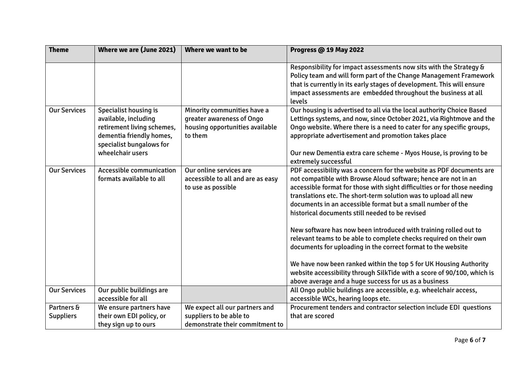| <b>Theme</b>                   | Where we are (June 2021)                                                                                                                                       | Where we want to be                                                                                    | <b>Progress @ 19 May 2022</b>                                                                                                                                                                                                                                                                                                                                                                                                                                                                                                                                                                                                                                                                                                                                                                                              |
|--------------------------------|----------------------------------------------------------------------------------------------------------------------------------------------------------------|--------------------------------------------------------------------------------------------------------|----------------------------------------------------------------------------------------------------------------------------------------------------------------------------------------------------------------------------------------------------------------------------------------------------------------------------------------------------------------------------------------------------------------------------------------------------------------------------------------------------------------------------------------------------------------------------------------------------------------------------------------------------------------------------------------------------------------------------------------------------------------------------------------------------------------------------|
|                                |                                                                                                                                                                |                                                                                                        | Responsibility for impact assessments now sits with the Strategy &<br>Policy team and will form part of the Change Management Framework<br>that is currently in its early stages of development. This will ensure<br>impact assessments are embedded throughout the business at all<br>levels                                                                                                                                                                                                                                                                                                                                                                                                                                                                                                                              |
| <b>Our Services</b>            | <b>Specialist housing is</b><br>available, including<br>retirement living schemes,<br>dementia friendly homes,<br>specialist bungalows for<br>wheelchair users | Minority communities have a<br>greater awareness of Ongo<br>housing opportunities available<br>to them | Our housing is advertised to all via the local authority Choice Based<br>Lettings systems, and now, since October 2021, via Rightmove and the<br>Ongo website. Where there is a need to cater for any specific groups,<br>appropriate advertisement and promotion takes place<br>Our new Dementia extra care scheme - Myos House, is proving to be<br>extremely successful                                                                                                                                                                                                                                                                                                                                                                                                                                                 |
| <b>Our Services</b>            | Accessible communication<br>formats available to all                                                                                                           | Our online services are<br>accessible to all and are as easy<br>to use as possible                     | PDF accessibility was a concern for the website as PDF documents are<br>not compatible with Browse Aloud software; hence are not in an<br>accessible format for those with sight difficulties or for those needing<br>translations etc. The short-term solution was to upload all new<br>documents in an accessible format but a small number of the<br>historical documents still needed to be revised<br>New software has now been introduced with training rolled out to<br>relevant teams to be able to complete checks required on their own<br>documents for uploading in the correct format to the website<br>We have now been ranked within the top 5 for UK Housing Authority<br>website accessibility through SilkTide with a score of 90/100, which is<br>above average and a huge success for us as a business |
| <b>Our Services</b>            | Our public buildings are<br>accessible for all                                                                                                                 |                                                                                                        | All Ongo public buildings are accessible, e.g. wheelchair access,<br>accessible WCs, hearing loops etc.                                                                                                                                                                                                                                                                                                                                                                                                                                                                                                                                                                                                                                                                                                                    |
| Partners &<br><b>Suppliers</b> | We ensure partners have<br>their own EDI policy, or<br>they sign up to ours                                                                                    | We expect all our partners and<br>suppliers to be able to<br>demonstrate their commitment to           | Procurement tenders and contractor selection include EDI questions<br>that are scored                                                                                                                                                                                                                                                                                                                                                                                                                                                                                                                                                                                                                                                                                                                                      |